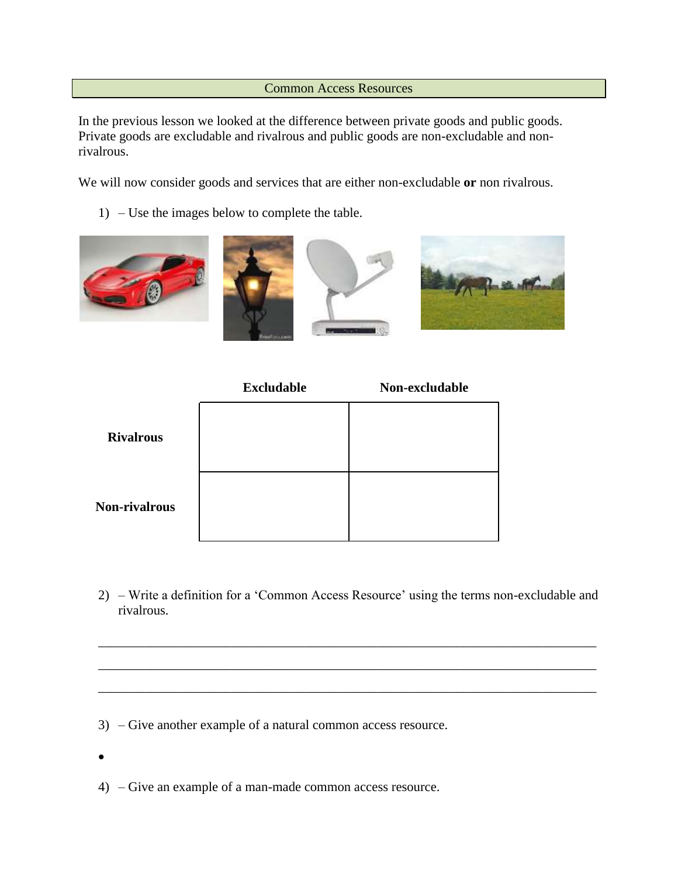## Common Access Resources

In the previous lesson we looked at the difference between private goods and public goods. Private goods are excludable and rivalrous and public goods are non-excludable and nonrivalrous.

We will now consider goods and services that are either non-excludable **or** non rivalrous.

1) – Use the images below to complete the table.



|                  | <b>Excludable</b> | Non-excludable |
|------------------|-------------------|----------------|
| <b>Rivalrous</b> |                   |                |
| Non-rivalrous    |                   |                |

2) – Write a definition for a 'Common Access Resource' using the terms non-excludable and rivalrous.

\_\_\_\_\_\_\_\_\_\_\_\_\_\_\_\_\_\_\_\_\_\_\_\_\_\_\_\_\_\_\_\_\_\_\_\_\_\_\_\_\_\_\_\_\_\_\_\_\_\_\_\_\_\_\_\_\_\_\_\_\_\_\_\_\_\_\_\_\_\_\_\_\_\_\_

\_\_\_\_\_\_\_\_\_\_\_\_\_\_\_\_\_\_\_\_\_\_\_\_\_\_\_\_\_\_\_\_\_\_\_\_\_\_\_\_\_\_\_\_\_\_\_\_\_\_\_\_\_\_\_\_\_\_\_\_\_\_\_\_\_\_\_\_\_\_\_\_\_\_\_

\_\_\_\_\_\_\_\_\_\_\_\_\_\_\_\_\_\_\_\_\_\_\_\_\_\_\_\_\_\_\_\_\_\_\_\_\_\_\_\_\_\_\_\_\_\_\_\_\_\_\_\_\_\_\_\_\_\_\_\_\_\_\_\_\_\_\_\_\_\_\_\_\_\_\_

- 3) Give another example of a natural common access resource.
- $\bullet$
- 4) Give an example of a man-made common access resource.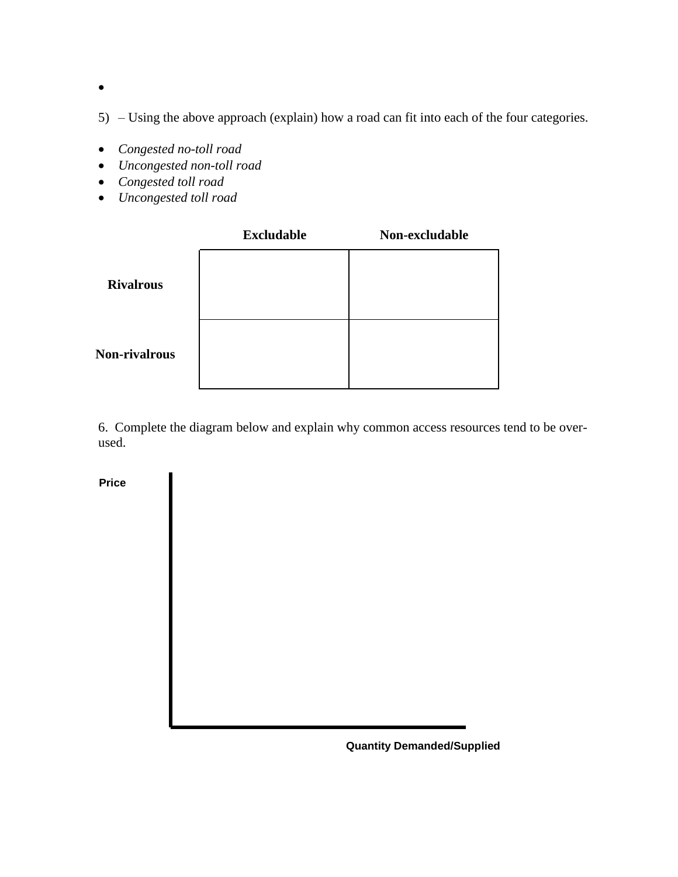$\bullet$ 

5) – Using the above approach (explain) how a road can fit into each of the four categories.

- *Congested no-toll road*
- *Uncongested non-toll road*
- *Congested toll road*
- *Uncongested toll road*

|                      | <b>Excludable</b> | Non-excludable |
|----------------------|-------------------|----------------|
| <b>Rivalrous</b>     |                   |                |
| <b>Non-rivalrous</b> |                   |                |

6. Complete the diagram below and explain why common access resources tend to be overused.

**Price**

**Quantity Demanded/Supplied**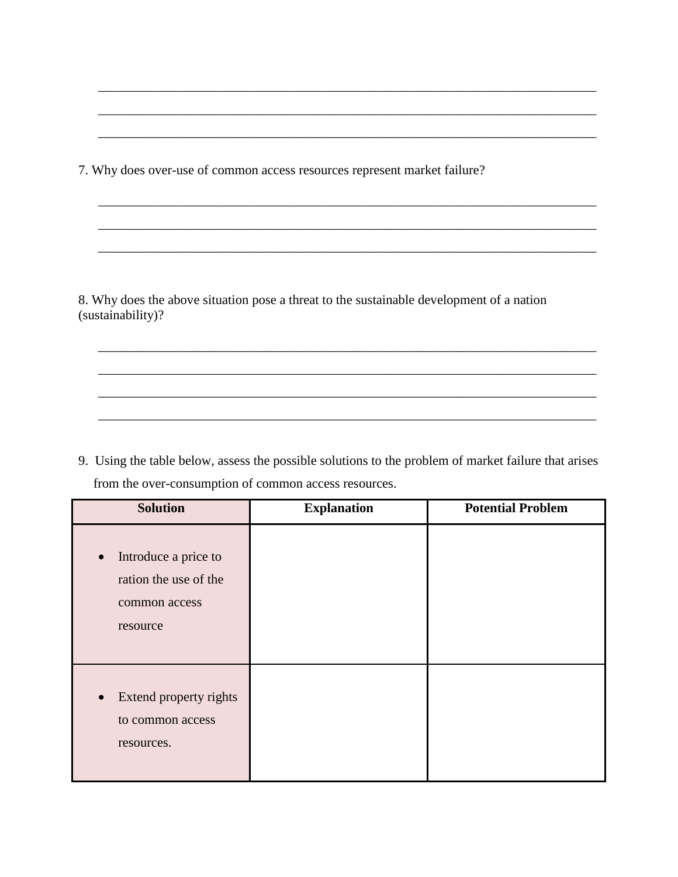7. Why does over-use of common access resources represent market failure?

8. Why does the above situation pose a threat to the sustainable development of a nation (sustainability)?

\_\_\_\_\_\_\_\_\_\_\_\_\_\_\_\_\_\_\_\_\_\_\_\_\_\_\_\_\_\_\_\_\_\_\_\_\_\_\_\_\_\_\_\_\_\_\_\_\_\_\_\_\_\_\_\_\_\_\_\_\_\_\_\_\_\_\_\_\_\_\_\_\_\_\_

\_\_\_\_\_\_\_\_\_\_\_\_\_\_\_\_\_\_\_\_\_\_\_\_\_\_\_\_\_\_\_\_\_\_\_\_\_\_\_\_\_\_\_\_\_\_\_\_\_\_\_\_\_\_\_\_\_\_\_\_\_\_\_\_\_\_\_\_\_\_\_\_\_\_\_

\_\_\_\_\_\_\_\_\_\_\_\_\_\_\_\_\_\_\_\_\_\_\_\_\_\_\_\_\_\_\_\_\_\_\_\_\_\_\_\_\_\_\_\_\_\_\_\_\_\_\_\_\_\_\_\_\_\_\_\_\_\_\_\_\_\_\_\_\_\_\_\_\_\_\_

\_\_\_\_\_\_\_\_\_\_\_\_\_\_\_\_\_\_\_\_\_\_\_\_\_\_\_\_\_\_\_\_\_\_\_\_\_\_\_\_\_\_\_\_\_\_\_\_\_\_\_\_\_\_\_\_\_\_\_\_\_\_\_\_\_\_\_\_\_\_\_\_\_\_\_

\_\_\_\_\_\_\_\_\_\_\_\_\_\_\_\_\_\_\_\_\_\_\_\_\_\_\_\_\_\_\_\_\_\_\_\_\_\_\_\_\_\_\_\_\_\_\_\_\_\_\_\_\_\_\_\_\_\_\_\_\_\_\_\_\_\_\_\_\_\_\_\_\_\_\_

\_\_\_\_\_\_\_\_\_\_\_\_\_\_\_\_\_\_\_\_\_\_\_\_\_\_\_\_\_\_\_\_\_\_\_\_\_\_\_\_\_\_\_\_\_\_\_\_\_\_\_\_\_\_\_\_\_\_\_\_\_\_\_\_\_\_\_\_\_\_\_\_\_\_\_

\_\_\_\_\_\_\_\_\_\_\_\_\_\_\_\_\_\_\_\_\_\_\_\_\_\_\_\_\_\_\_\_\_\_\_\_\_\_\_\_\_\_\_\_\_\_\_\_\_\_\_\_\_\_\_\_\_\_\_\_\_\_\_\_\_\_\_\_\_\_\_\_\_\_\_

\_\_\_\_\_\_\_\_\_\_\_\_\_\_\_\_\_\_\_\_\_\_\_\_\_\_\_\_\_\_\_\_\_\_\_\_\_\_\_\_\_\_\_\_\_\_\_\_\_\_\_\_\_\_\_\_\_\_\_\_\_\_\_\_\_\_\_\_\_\_\_\_\_\_\_

\_\_\_\_\_\_\_\_\_\_\_\_\_\_\_\_\_\_\_\_\_\_\_\_\_\_\_\_\_\_\_\_\_\_\_\_\_\_\_\_\_\_\_\_\_\_\_\_\_\_\_\_\_\_\_\_\_\_\_\_\_\_\_\_\_\_\_\_\_\_\_\_\_\_\_

\_\_\_\_\_\_\_\_\_\_\_\_\_\_\_\_\_\_\_\_\_\_\_\_\_\_\_\_\_\_\_\_\_\_\_\_\_\_\_\_\_\_\_\_\_\_\_\_\_\_\_\_\_\_\_\_\_\_\_\_\_\_\_\_\_\_\_\_\_\_\_\_\_\_\_

9. Using the table below, assess the possible solutions to the problem of market failure that arises from the over-consumption of common access resources.

| <b>Solution</b>                                                            | <b>Explanation</b> | <b>Potential Problem</b> |
|----------------------------------------------------------------------------|--------------------|--------------------------|
| Introduce a price to<br>ration the use of the<br>common access<br>resource |                    |                          |
| Extend property rights<br>$\bullet$<br>to common access<br>resources.      |                    |                          |